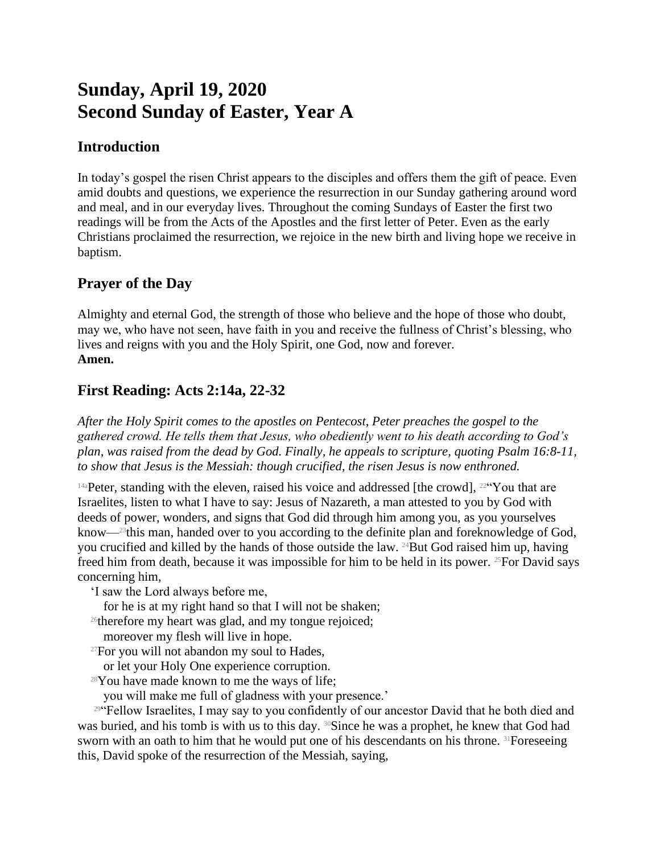# **Sunday, April 19, 2020 Second Sunday of Easter, Year A**

## **Introduction**

In today's gospel the risen Christ appears to the disciples and offers them the gift of peace. Even amid doubts and questions, we experience the resurrection in our Sunday gathering around word and meal, and in our everyday lives. Throughout the coming Sundays of Easter the first two readings will be from the Acts of the Apostles and the first letter of Peter. Even as the early Christians proclaimed the resurrection, we rejoice in the new birth and living hope we receive in baptism.

## **Prayer of the Day**

Almighty and eternal God, the strength of those who believe and the hope of those who doubt, may we, who have not seen, have faith in you and receive the fullness of Christ's blessing, who lives and reigns with you and the Holy Spirit, one God, now and forever. **Amen.**

# **First Reading: Acts 2:14a, 22-32**

*After the Holy Spirit comes to the apostles on Pentecost, Peter preaches the gospel to the gathered crowd. He tells them that Jesus, who obediently went to his death according to God's plan, was raised from the dead by God. Finally, he appeals to scripture, quoting Psalm 16:8-11, to show that Jesus is the Messiah: though crucified, the risen Jesus is now enthroned.*

 $14a$ Peter, standing with the eleven, raised his voice and addressed [the crowd],  $22\degree$ You that are Israelites, listen to what I have to say: Jesus of Nazareth, a man attested to you by God with deeds of power, wonders, and signs that God did through him among you, as you yourselves know—23this man, handed over to you according to the definite plan and foreknowledge of God, you crucified and killed by the hands of those outside the law. 24But God raised him up, having freed him from death, because it was impossible for him to be held in its power. 25For David says concerning him,

'I saw the Lord always before me,

- for he is at my right hand so that I will not be shaken;
- <sup>26</sup>therefore my heart was glad, and my tongue rejoiced;
- moreover my flesh will live in hope.
- <sup>27</sup>For you will not abandon my soul to Hades,
- or let your Holy One experience corruption.
- $28$ You have made known to me the ways of life;
	- you will make me full of gladness with your presence.'

<sup>294</sup> Fellow Israelites, I may say to you confidently of our ancestor David that he both died and was buried, and his tomb is with us to this day. <sup>30</sup>Since he was a prophet, he knew that God had sworn with an oath to him that he would put one of his descendants on his throne. <sup>31</sup>Foreseeing this, David spoke of the resurrection of the Messiah, saying,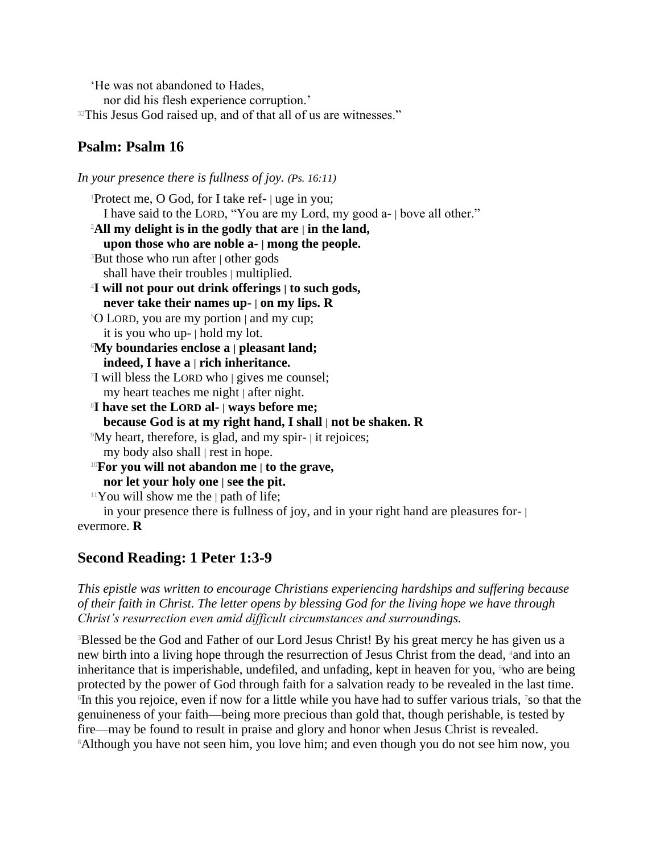'He was not abandoned to Hades,

nor did his flesh experience corruption.'

<sup>32</sup>This Jesus God raised up, and of that all of us are witnesses."

## **Psalm: Psalm 16**

*In your presence there is fullness of joy. (Ps. 16:11)* <sup>1</sup>Protect me, O God, for I take ref- | uge in you; I have said to the LORD, "You are my Lord, my good a- | bove all other." <sup>2</sup>**All my delight is in the godly that are | in the land, upon those who are noble a- | mong the people.** <sup>3</sup>But those who run after | other gods shall have their troubles | multiplied. <sup>4</sup>**I will not pour out drink offerings | to such gods, never take their names up- | on my lips. R** <sup>5</sup>O LORD, you are my portion | and my cup; it is you who up- | hold my lot. <sup>6</sup>**My boundaries enclose a | pleasant land; indeed, I have a | rich inheritance.** 7 I will bless the LORD who | gives me counsel; my heart teaches me night | after night. <sup>8</sup>**I have set the LORD al- | ways before me; because God is at my right hand, I shall | not be shaken. R** <sup>9</sup>My heart, therefore, is glad, and my spir- | it rejoices; my body also shall | rest in hope. <sup>10</sup>**For you will not abandon me | to the grave, nor let your holy one | see the pit.**  $11$ You will show me the  $|$  path of life; in your presence there is fullness of joy, and in your right hand are pleasures for- | evermore. **R**

# **Second Reading: 1 Peter 1:3-9**

*This epistle was written to encourage Christians experiencing hardships and suffering because of their faith in Christ. The letter opens by blessing God for the living hope we have through Christ's resurrection even amid difficult circumstances and surroundings.*

<sup>3</sup>Blessed be the God and Father of our Lord Jesus Christ! By his great mercy he has given us a new birth into a living hope through the resurrection of Jesus Christ from the dead, 4and into an inheritance that is imperishable, undefiled, and unfading, kept in heaven for you,  $5$ who are being protected by the power of God through faith for a salvation ready to be revealed in the last time. 6 In this you rejoice, even if now for a little while you have had to suffer various trials, 7so that the genuineness of your faith—being more precious than gold that, though perishable, is tested by fire—may be found to result in praise and glory and honor when Jesus Christ is revealed. <sup>8</sup>Although you have not seen him, you love him; and even though you do not see him now, you